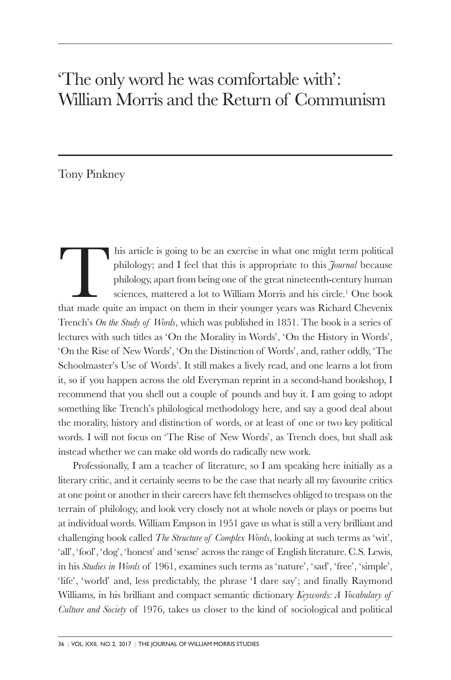## 'The only word he was comfortable with': William Morris and the Return of Communism

## Tony Pinkney

his article is going to be an exercise in what one might term political philology; and I feel that this is appropriate to this *Journal* because philology, apart from being one of the great nineteenth-century human sciences, mattered a lot to William Morris and his circle. <sup>1</sup> One book that made quite an impact on them in their younger years was Richard Chevenix Trench's *On the Study of Words*, which was published in 1851. The book is a series of lectures with such titles as 'On the Morality in Words', 'On the History in Words', 'On the Rise of New Words', 'On the Distinction of Words', and, rather oddly, 'The Schoolmaster's Use of Words'. It still makes a lively read, and one learns a lot from it, so if you happen across the old Everyman reprint in a second-hand bookshop, I recommend that you shell out a couple of pounds and buy it. I am going to adopt something like Trench's philological methodology here, and say a good deal about the morality, history and distinction of words, or at least of one or two key political words. I will not focus on 'The Rise of New Words', as Trench does, but shall ask instead whether we can make old words do radically new work.

Professionally, I am a teacher of literature, so I am speaking here initially as a literary critic, and it certainly seems to be the case that nearly all my favourite critics at one point or another in their careers have felt themselves obliged to trespass on the terrain of philology, and look very closely not at whole novels or plays or poems but at individual words. William Empson in 1951 gave us what is still a very brilliant and challenging book called *The Structure of Complex Words*, looking at such terms as 'wit', 'all', 'fool', 'dog', 'honest' and 'sense' across the range of English literature. C.S. Lewis, in his *Studies in Words* of 1961, examines such terms as 'nature', 'sad', 'free', 'simple', 'life', 'world' and, less predictably, the phrase 'I dare say'; and finally Raymond Williams, in his brilliant and compact semantic dictionary *Keywords: A Vocabulary of Culture and Society* of 1976, takes us closer to the kind of sociological and political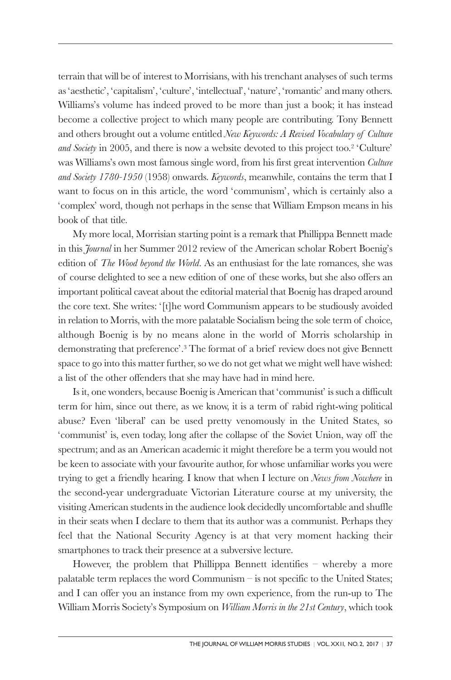terrain that will be of interest to Morrisians, with his trenchant analyses of such terms as 'aesthetic', 'capitalism', 'culture', 'intellectual', 'nature', 'romantic' and many others. Williams's volume has indeed proved to be more than just a book; it has instead become a collective project to which many people are contributing. Tony Bennett and others brought out a volume entitled *New Keywords: A Revised Vocabulary of Culture and Society* in 2005, and there is now a website devoted to this project too. <sup>2</sup> 'Culture' was Williams's own most famous single word, from his first great intervention *Culture and Society 1780-1950* (1958) onwards. *Keywords*, meanwhile, contains the term that I want to focus on in this article, the word 'communism', which is certainly also a 'complex' word, though not perhaps in the sense that William Empson means in his book of that title.

My more local, Morrisian starting point is a remark that Phillippa Bennett made in this *Journal* in her Summer 2012 review of the American scholar Robert Boenig's edition of *The Wood beyond the World*. As an enthusiast for the late romances, she was of course delighted to see a new edition of one of these works, but she also offers an important political caveat about the editorial material that Boenig has draped around the core text. She writes: '[t]he word Communism appears to be studiously avoided in relation to Morris, with the more palatable Socialism being the sole term of choice, although Boenig is by no means alone in the world of Morris scholarship in demonstrating that preference'. <sup>3</sup> The format of a brief review does not give Bennett space to go into this matter further, so we do not get what we might well have wished: a list of the other offenders that she may have had in mind here.

Is it, one wonders, because Boenig is American that 'communist' is such a difficult term for him, since out there, as we know, it is a term of rabid right-wing political abuse? Even 'liberal' can be used pretty venomously in the United States, so 'communist' is, even today, long after the collapse of the Soviet Union, way off the spectrum; and as an American academic it might therefore be a term you would not be keen to associate with your favourite author, for whose unfamiliar works you were trying to get a friendly hearing. I know that when I lecture on *News from Nowhere* in the second-year undergraduate Victorian Literature course at my university, the visiting American students in the audience look decidedly uncomfortable and shuffle in their seats when I declare to them that its author was a communist. Perhaps they feel that the National Security Agency is at that very moment hacking their smartphones to track their presence at a subversive lecture.

However, the problem that Phillippa Bennett identifies – whereby a more palatable term replaces the word Communism – is not specific to the United States; and I can offer you an instance from my own experience, from the run-up to The William Morris Society's Symposium on *William Morris in the 21st Century*, which took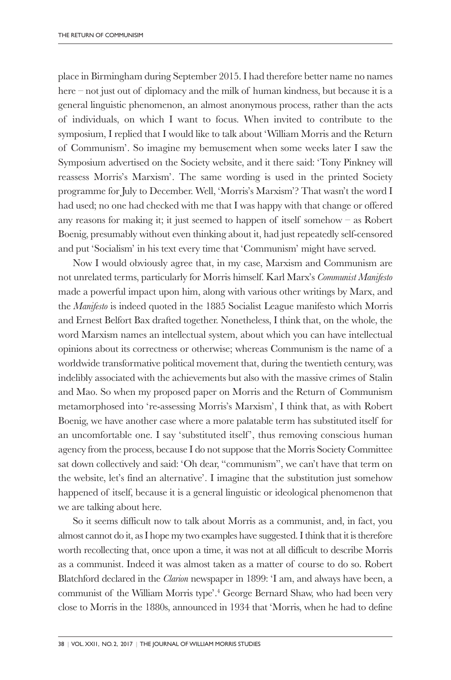place in Birmingham during September 2015. I had therefore better name no names here – not just out of diplomacy and the milk of human kindness, but because it is a general linguistic phenomenon, an almost anonymous process, rather than the acts of individuals, on which I want to focus. When invited to contribute to the symposium, I replied that I would like to talk about 'William Morris and the Return of Communism'. So imagine my bemusement when some weeks later I saw the Symposium advertised on the Society website, and it there said: 'Tony Pinkney will reassess Morris's Marxism'. The same wording is used in the printed Society programme for July to December. Well, 'Morris's Marxism'? That wasn't the word I had used; no one had checked with me that I was happy with that change or offered any reasons for making it; it just seemed to happen of itself somehow – as Robert Boenig, presumably without even thinking about it, had just repeatedly self-censored and put 'Socialism' in his text every time that 'Communism' might have served.

Now I would obviously agree that, in my case, Marxism and Communism are not unrelated terms, particularly for Morris himself. Karl Marx's *Communist Manifesto* made a powerful impact upon him, along with various other writings by Marx, and the *Manifesto* is indeed quoted in the 1885 Socialist League manifesto which Morris and Ernest Belfort Bax drafted together. Nonetheless, I think that, on the whole, the word Marxism names an intellectual system, about which you can have intellectual opinions about its correctness or otherwise; whereas Communism is the name of a worldwide transformative political movement that, during the twentieth century, was indelibly associated with the achievements but also with the massive crimes of Stalin and Mao. So when my proposed paper on Morris and the Return of Communism metamorphosed into 're-assessing Morris's Marxism', I think that, as with Robert Boenig, we have another case where a more palatable term has substituted itself for an uncomfortable one. I say 'substituted itself', thus removing conscious human agency from the process, because I do not suppose that the Morris Society Committee sat down collectively and said: 'Oh dear, "communism", we can't have that term on the website, let's find an alternative'. I imagine that the substitution just somehow happened of itself, because it is a general linguistic or ideological phenomenon that we are talking about here.

So it seems difficult now to talk about Morris as a communist, and, in fact, you almost cannot do it, asI hope my two examples have suggested.Ithink that it istherefore worth recollecting that, once upon a time, it was not at all difficult to describe Morris as a communist. Indeed it was almost taken as a matter of course to do so. Robert Blatchford declared in the *Clarion* newspaper in 1899: 'I am, and always have been, a communist of the William Morris type'. <sup>4</sup> George Bernard Shaw, who had been very close to Morris in the 1880s, announced in 1934 that 'Morris, when he had to define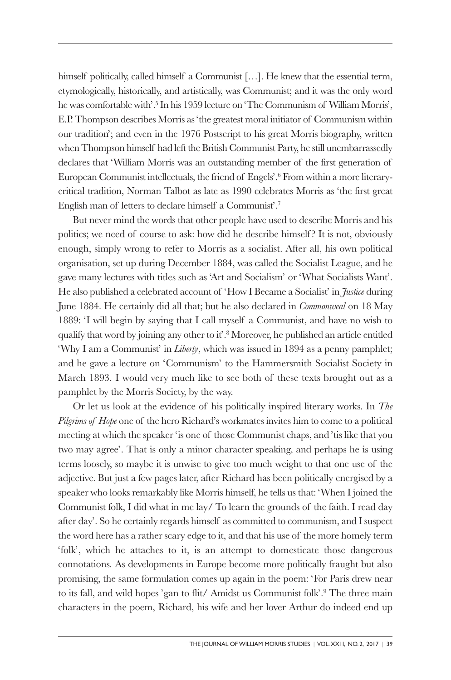himself politically, called himself a Communist [...]. He knew that the essential term, etymologically, historically, and artistically, was Communist; and it was the only word hewas comfortablewith'. <sup>5</sup> In his 1959 lecture on 'The Communism of William Morris', E.P.Thompson describes Morris as 'the greatest moral initiator of Communism within our tradition'; and even in the 1976 Postscript to his great Morris biography, written whenThompson himself had left the British Communist Party, he still unembarrassedly declares that 'William Morris was an outstanding member of the first generation of European Communist intellectuals, the friend of Engels'. <sup>6</sup> From within a more literarycritical tradition, Norman Talbot as late as 1990 celebrates Morris as 'the first great English man of letters to declare himself a Communist'. 7

But never mind the words that other people have used to describe Morris and his politics; we need of course to ask: how did he describe himself? It is not, obviously enough, simply wrong to refer to Morris as a socialist. After all, his own political organisation, set up during December 1884, was called the Socialist League, and he gave many lectures with titles such as 'Art and Socialism' or 'What Socialists Want'. He also published a celebrated account of 'How I Became a Socialist' in *Justice* during June 1884. He certainly did all that; but he also declared in *Commonweal* on 18 May 1889: 'I will begin by saying that I call myself a Communist, and have no wish to qualify that word by joining any other to it'. <sup>8</sup> Moreover, he published an article entitled 'Why I am a Communist' in *Liberty*, which was issued in 1894 as a penny pamphlet; and he gave a lecture on 'Communism' to the Hammersmith Socialist Society in March 1893. I would very much like to see both of these texts brought out as a pamphlet by the Morris Society, by the way.

Or let us look at the evidence of his politically inspired literary works. In *The Pilgrims of Hope* one of the hero Richard's workmates invites him to come to a political meeting at which the speaker 'is one of those Communist chaps, and 'tis like that you two may agree'. That is only a minor character speaking, and perhaps he is using terms loosely, so maybe it is unwise to give too much weight to that one use of the adjective. But just a few pages later, after Richard has been politically energised by a speaker who looks remarkably like Morris himself, he tells us that: 'When I joined the Communist folk, I did what in me lay/ To learn the grounds of the faith. I read day after day'. So he certainly regards himself as committed to communism, and I suspect the word here has a rather scary edge to it, and that his use of the more homely term 'folk', which he attaches to it, is an attempt to domesticate those dangerous connotations. As developments in Europe become more politically fraught but also promising, the same formulation comes up again in the poem: 'For Paris drew near to its fall, and wild hopes 'gan to flit/ Amidst us Communist folk'. <sup>9</sup> The three main characters in the poem, Richard, his wife and her lover Arthur do indeed end up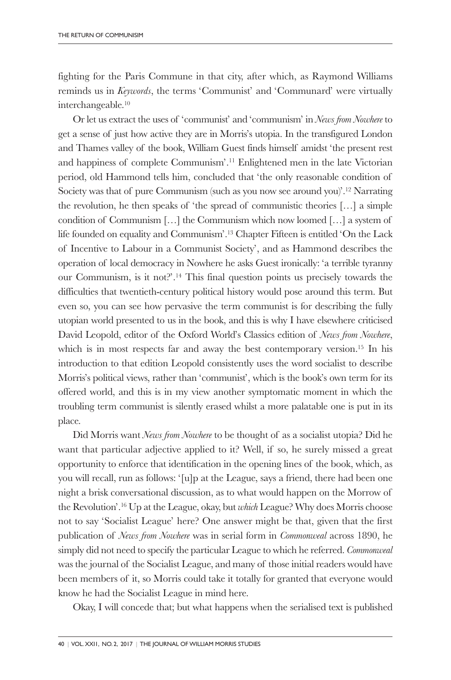fighting for the Paris Commune in that city, after which, as Raymond Williams reminds us in *Keywords*, the terms 'Communist' and 'Communard' were virtually interchangeable. 10

Or let us extract the uses of 'communist' and 'communism' in *News from Nowhere* to get a sense of just how active they are in Morris's utopia. In the transfigured London and Thames valley of the book, William Guest finds himself amidst 'the present rest and happiness of complete Communism'. <sup>11</sup> Enlightened men in the late Victorian period, old Hammond tells him, concluded that 'the only reasonable condition of Society was that of pure Communism (such as you now see around you)'. <sup>12</sup> Narrating the revolution, he then speaks of 'the spread of communistic theories  $[\ldots]$  a simple condition of Communism […] the Communism which now loomed […] a system of life founded on equality and Communism'. <sup>13</sup> Chapter Fifteen is entitled 'On the Lack of Incentive to Labour in a Communist Society', and as Hammond describes the operation of local democracy in Nowhere he asks Guest ironically: 'a terrible tyranny our Communism, is it not?'. <sup>14</sup> This final question points us precisely towards the difficulties that twentieth-century political history would pose around this term. But even so, you can see how pervasive the term communist is for describing the fully utopian world presented to us in the book, and this is why I have elsewhere criticised David Leopold, editor of the Oxford World's Classics edition of *News from Nowhere*, which is in most respects far and away the best contemporary version. <sup>15</sup> In his introduction to that edition Leopold consistently uses the word socialist to describe Morris's political views, rather than 'communist', which is the book's own term for its offered world, and this is in my view another symptomatic moment in which the troubling term communist is silently erased whilst a more palatable one is put in its place.

Did Morris want *News from Nowhere* to be thought of as a socialist utopia? Did he want that particular adjective applied to it? Well, if so, he surely missed a great opportunity to enforce that identification in the opening lines of the book, which, as you will recall, run as follows: '[u]p at the League, says a friend, there had been one night a brisk conversational discussion, as to what would happen on the Morrow of the Revolution'. <sup>16</sup> Up at the League, okay, but *which* League? Why does Morris choose not to say 'Socialist League' here? One answer might be that, given that the first publication of *News from Nowhere* was in serial form in *Commonweal* across 1890, he simply did not need to specify the particular League to which he referred. *Commonweal* was the journal of the Socialist League, and many of those initial readers would have been members of it, so Morris could take it totally for granted that everyone would know he had the Socialist League in mind here.

Okay, I will concede that; but what happens when the serialised text is published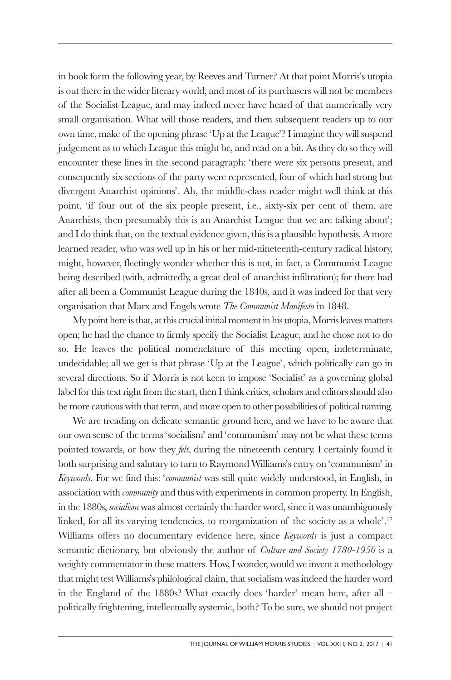in book form the following year, by Reeves and Turner? At that point Morris's utopia is out there in the wider literary world, and most of its purchasers will not be members of the Socialist League, and may indeed never have heard of that numerically very small organisation. What will those readers, and then subsequent readers up to our own time, make of the opening phrase 'Up at the League'?I imagine they will suspend judgement as to which League this might be, and read on a bit. As they do so they will encounter these lines in the second paragraph: 'there were six persons present, and consequently six sections of the party were represented, four of which had strong but divergent Anarchist opinions'. Ah, the middle-class reader might well think at this point, 'if four out of the six people present, i.e., sixty-six per cent of them, are Anarchists, then presumably this is an Anarchist League that we are talking about'; and I do think that, on the textual evidence given, this is a plausible hypothesis. A more learned reader, who was well up in his or her mid-nineteenth-century radical history, might, however, fleetingly wonder whether this is not, in fact, a Communist League being described (with, admittedly, a great deal of anarchist infiltration); for there had after all been a Communist League during the 1840s, and it was indeed for that very organisation that Marx and Engels wrote *The Communist Manifesto* in 1848.

My point here isthat, at this crucial initial moment in his utopia,Morrisleaves matters open; he had the chance to firmly specify the Socialist League, and he chose not to do so. He leaves the political nomenclature of this meeting open, indeterminate, undecidable; all we get is that phrase 'Up at the League', which politically can go in several directions. So if Morris is not keen to impose 'Socialist' as a governing global label for this text right from the start, then I think critics, scholars and editors should also be more cautiouswith that term, and more open to other possibilities of political naming.

We are treading on delicate semantic ground here, and we have to be aware that our own sense of the terms 'socialism' and 'communism' may not be what these terms pointed towards, or how they *felt*, during the nineteenth century. I certainly found it both surprising and salutary to turn to Raymond Williams's entry on 'communism' in *Keywords*. For we find this: '*communist* was still quite widely understood, in English, in association with *community* and thus with experiments in common property. In English, in the 1880s, *socialism* was almost certainly the harder word, since it was unambiguously linked, for all its varying tendencies, to reorganization of the society as a whole'. 17 Williams offers no documentary evidence here, since *Keywords* is just a compact semantic dictionary, but obviously the author of *Culture and Society 1780-1950* is a weighty commentator in these matters. How, I wonder, would we invent a methodology that might test Williams's philological claim, that socialism was indeed the harder word in the England of the 1880s? What exactly does 'harder' mean here, after all – politically frightening, intellectually systemic, both? To be sure, we should not project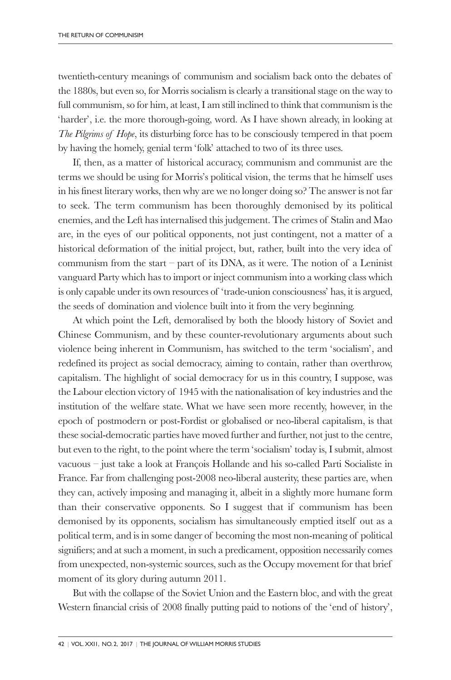twentieth-century meanings of communism and socialism back onto the debates of the 1880s, but even so, for Morris socialism is clearly a transitional stage on the way to full communism, so for him, at least, I am still inclined to think that communism is the 'harder', i.e. the more thorough-going, word. As I have shown already, in looking at *The Pilgrims of Hope*, its disturbing force has to be consciously tempered in that poem by having the homely, genial term 'folk' attached to two of its three uses.

If, then, as a matter of historical accuracy, communism and communist are the terms we should be using for Morris's political vision, the terms that he himself uses in his finest literary works, then why are we no longer doing so? The answer is not far to seek. The term communism has been thoroughly demonised by its political enemies, and the Left has internalised this judgement. The crimes of Stalin and Mao are, in the eyes of our political opponents, not just contingent, not a matter of a historical deformation of the initial project, but, rather, built into the very idea of communism from the start – part of its DNA, as it were. The notion of a Leninist vanguard Party which has to import or inject communism into a working class which is only capable under its own resources of 'trade-union consciousness' has, it is argued, the seeds of domination and violence built into it from the very beginning.

At which point the Left, demoralised by both the bloody history of Soviet and Chinese Communism, and by these counter-revolutionary arguments about such violence being inherent in Communism, has switched to the term 'socialism', and redefined its project as social democracy, aiming to contain, rather than overthrow, capitalism. The highlight of social democracy for us in this country, I suppose, was the Labour election victory of 1945 with the nationalisation of key industries and the institution of the welfare state. What we have seen more recently, however, in the epoch of postmodern or post-Fordist or globalised or neo-liberal capitalism, is that these social-democratic parties have moved further and further, not just to the centre, but even to the right, to the point where the term 'socialism' today is, I submit, almost vacuous – just take a look at François Hollande and his so-called Parti Socialiste in France. Far from challenging post-2008 neo-liberal austerity, these parties are, when they can, actively imposing and managing it, albeit in a slightly more humane form than their conservative opponents. So I suggest that if communism has been demonised by its opponents, socialism has simultaneously emptied itself out as a political term, and is in some danger of becoming the most non-meaning of political signifiers; and at such a moment, in such a predicament, opposition necessarily comes from unexpected, non-systemic sources, such as the Occupy movement for that brief moment of its glory during autumn 2011.

But with the collapse of the Soviet Union and the Eastern bloc, and with the great Western financial crisis of 2008 finally putting paid to notions of the 'end of history',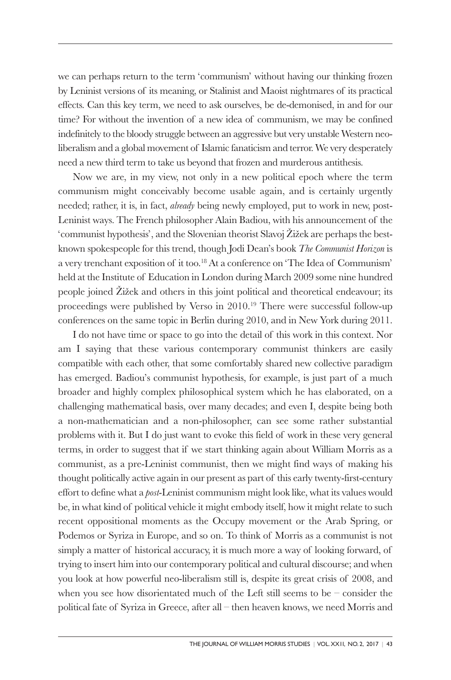we can perhaps return to the term 'communism' without having our thinking frozen by Leninist versions of its meaning, or Stalinist and Maoist nightmares of its practical effects. Can this key term, we need to ask ourselves, be de-demonised, in and for our time? For without the invention of a new idea of communism, we may be confined indefinitely to the bloody struggle between an aggressive but very unstable Western neoliberalism and a global movement of Islamic fanaticism and terror. We very desperately need a new third term to take us beyond that frozen and murderous antithesis.

Now we are, in my view, not only in a new political epoch where the term communism might conceivably become usable again, and is certainly urgently needed; rather, it is, in fact, *already* being newly employed, put to work in new, post-Leninist ways. The French philosopher Alain Badiou, with his announcement of the 'communist hypothesis', and the Slovenian theorist Slavoj Žižek are perhaps the bestknown spokespeople for this trend, though Jodi Dean's book *The Communist Horizon* is a very trenchant exposition of it too. <sup>18</sup> At a conference on 'The Idea of Communism' held at the Institute of Education in London during March 2009 some nine hundred people joined Žižek and others in this joint political and theoretical endeavour; its proceedings were published by Verso in 2010. <sup>19</sup> There were successful follow-up conferences on the same topic in Berlin during 2010, and in New York during 2011.

I do not have time or space to go into the detail of this work in this context. Nor am I saying that these various contemporary communist thinkers are easily compatible with each other, that some comfortably shared new collective paradigm has emerged. Badiou's communist hypothesis, for example, is just part of a much broader and highly complex philosophical system which he has elaborated, on a challenging mathematical basis, over many decades; and even I, despite being both a non-mathematician and a non-philosopher, can see some rather substantial problems with it. But I do just want to evoke this field of work in these very general terms, in order to suggest that if we start thinking again about William Morris as a communist, as a pre-Leninist communist, then we might find ways of making his thought politically active again in our present as part of this early twenty-first-century effort to define what a *post*-Leninist communism might look like, what its values would be, in what kind of political vehicle it might embody itself, how it might relate to such recent oppositional moments as the Occupy movement or the Arab Spring, or Podemos or Syriza in Europe, and so on. To think of Morris as a communist is not simply a matter of historical accuracy, it is much more a way of looking forward, of trying to insert him into our contemporary political and cultural discourse; and when you look at how powerful neo-liberalism still is, despite its great crisis of 2008, and when you see how disorientated much of the Left still seems to be  $-$  consider the political fate of Syriza in Greece, after all – then heaven knows, we need Morris and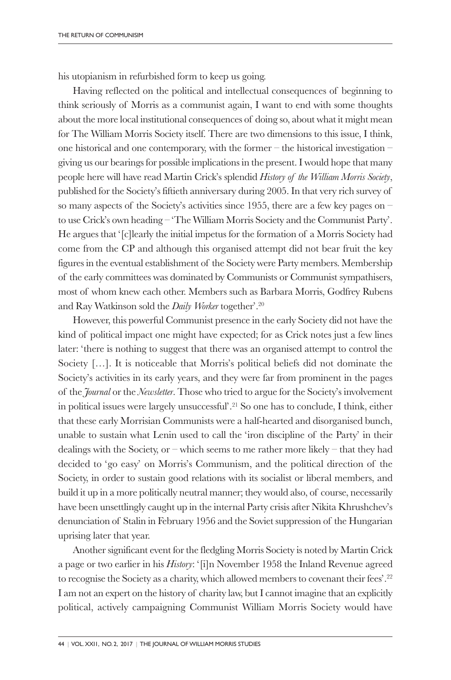his utopianism in refurbished form to keep us going.

Having reflected on the political and intellectual consequences of beginning to think seriously of Morris as a communist again, I want to end with some thoughts about the more local institutional consequences of doing so, about what it might mean for The William Morris Society itself. There are two dimensions to this issue, I think, one historical and one contemporary, with the former – the historical investigation – giving us our bearings for possible implications in the present. I would hope that many people here will have read Martin Crick's splendid *History of the William Morris Society*, published for the Society's fiftieth anniversary during 2005. In that very rich survey of so many aspects of the Society's activities since 1955, there are a few key pages on – to use Crick's own heading – 'The William Morris Society and the Communist Party'. He argues that '[c]learly the initial impetus for the formation of a Morris Society had come from the CP and although this organised attempt did not bear fruit the key figures in the eventual establishment of the Society were Party members. Membership of the early committees was dominated by Communists or Communist sympathisers, most of whom knew each other. Members such as Barbara Morris, Godfrey Rubens and Ray Watkinson sold the *Daily Worker* together'. 20

However, this powerful Communist presence in the early Society did not have the kind of political impact one might have expected; for as Crick notes just a few lines later: 'there is nothing to suggest that there was an organised attempt to control the Society […]. It is noticeable that Morris's political beliefs did not dominate the Society's activities in its early years, and they were far from prominent in the pages of the *Journal* or the *Newsletter*. Those who tried to argue for the Society's involvement in political issues were largely unsuccessful'. <sup>21</sup> So one has to conclude, I think, either that these early Morrisian Communists were a half-hearted and disorganised bunch, unable to sustain what Lenin used to call the 'iron discipline of the Party' in their dealings with the Society, or – which seems to me rather more likely – that they had decided to 'go easy' on Morris's Communism, and the political direction of the Society, in order to sustain good relations with its socialist or liberal members, and build it up in a more politically neutral manner; they would also, of course, necessarily have been unsettlingly caught up in the internal Party crisis after Nikita Khrushchev's denunciation of Stalin in February 1956 and the Soviet suppression of the Hungarian uprising later that year.

Another significant event for the fledgling Morris Society is noted by Martin Crick a page or two earlier in his *History*: '[i]n November 1958 the Inland Revenue agreed to recognise the Society as a charity, which allowed members to covenant their fees'. 22 I am not an expert on the history of charity law, but I cannot imagine that an explicitly political, actively campaigning Communist William Morris Society would have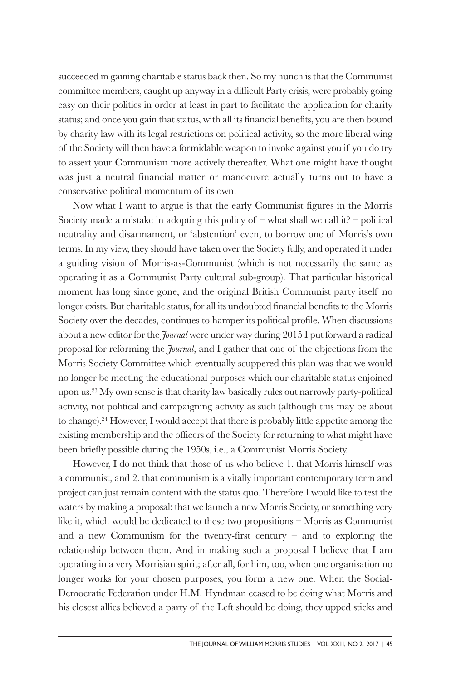succeeded in gaining charitable status back then. So my hunch is that the Communist committee members, caught up anyway in a difficult Party crisis, were probably going easy on their politics in order at least in part to facilitate the application for charity status; and once you gain that status, with all its financial benefits, you are then bound by charity law with its legal restrictions on political activity, so the more liberal wing of the Society will then have a formidable weapon to invoke against you if you do try to assert your Communism more actively thereafter. What one might have thought was just a neutral financial matter or manoeuvre actually turns out to have a conservative political momentum of its own.

Now what I want to argue is that the early Communist figures in the Morris Society made a mistake in adopting this policy of  $-$  what shall we call it?  $-$  political neutrality and disarmament, or 'abstention' even, to borrow one of Morris's own terms. In my view, they should have taken over the Society fully, and operated it under a guiding vision of Morris-as-Communist (which is not necessarily the same as operating it as a Communist Party cultural sub-group). That particular historical moment has long since gone, and the original British Communist party itself no longer exists. But charitable status, for all its undoubted financial benefits to the Morris Society over the decades, continues to hamper its political profile. When discussions about a new editor for the *Journal* were under way during 2015 I put forward a radical proposal for reforming the *Journal*, and I gather that one of the objections from the Morris Society Committee which eventually scuppered this plan was that we would no longer be meeting the educational purposes which our charitable status enjoined upon us. <sup>23</sup> My own sense is that charity law basically rules out narrowly party-political activity, not political and campaigning activity as such (although this may be about to change). <sup>24</sup> However, I would accept that there is probably little appetite among the existing membership and the officers of the Society for returning to what might have been briefly possible during the 1950s, i.e., a Communist Morris Society.

However, I do not think that those of us who believe 1. that Morris himself was a communist, and 2. that communism is a vitally important contemporary term and project can just remain content with the status quo. Therefore I would like to test the waters by making a proposal: that we launch a new Morris Society, or something very like it, which would be dedicated to these two propositions – Morris as Communist and a new Communism for the twenty-first century  $-$  and to exploring the relationship between them. And in making such a proposal I believe that I am operating in a very Morrisian spirit; after all, for him, too, when one organisation no longer works for your chosen purposes, you form a new one. When the Social-Democratic Federation under H.M. Hyndman ceased to be doing what Morris and his closest allies believed a party of the Left should be doing, they upped sticks and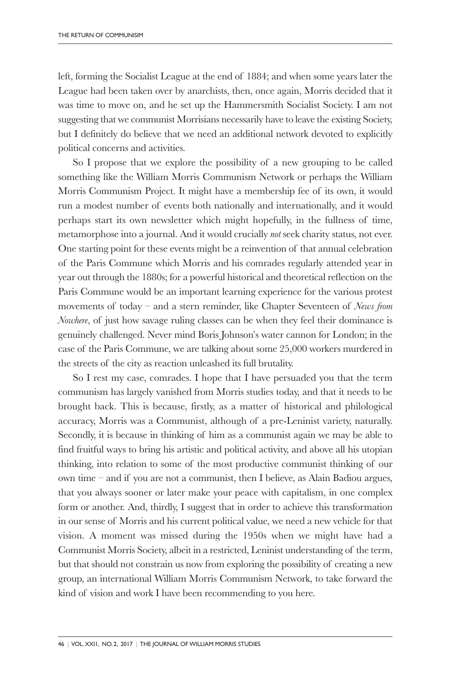left, forming the Socialist League at the end of 1884; and when some years later the League had been taken over by anarchists, then, once again, Morris decided that it was time to move on, and he set up the Hammersmith Socialist Society. I am not suggesting that we communist Morrisians necessarily have to leave the existing Society, but I definitely do believe that we need an additional network devoted to explicitly political concerns and activities.

So I propose that we explore the possibility of a new grouping to be called something like the William Morris Communism Network or perhaps the William Morris Communism Project. It might have a membership fee of its own, it would run a modest number of events both nationally and internationally, and it would perhaps start its own newsletter which might hopefully, in the fullness of time, metamorphose into a journal. And it would crucially *not* seek charity status, not ever. One starting point for these events might be a reinvention of that annual celebration of the Paris Commune which Morris and his comrades regularly attended year in year out through the 1880s; for a powerful historical and theoretical reflection on the Paris Commune would be an important learning experience for the various protest movements of today – and a stern reminder, like Chapter Seventeen of *News from Nowhere*, of just how savage ruling classes can be when they feel their dominance is genuinely challenged. Never mind Boris Johnson's water cannon for London; in the case of the Paris Commune, we are talking about some 25,000 workers murdered in the streets of the city as reaction unleashed its full brutality.

So I rest my case, comrades. I hope that I have persuaded you that the term communism has largely vanished from Morris studies today, and that it needs to be brought back. This is because, firstly, as a matter of historical and philological accuracy, Morris was a Communist, although of a pre-Leninist variety, naturally. Secondly, it is because in thinking of him as a communist again we may be able to find fruitful ways to bring his artistic and political activity, and above all his utopian thinking, into relation to some of the most productive communist thinking of our own time – and if you are not a communist, then I believe, as Alain Badiou argues, that you always sooner or later make your peace with capitalism, in one complex form or another. And, thirdly, I suggest that in order to achieve this transformation in our sense of Morris and his current political value, we need a new vehicle for that vision. A moment was missed during the 1950s when we might have had a Communist Morris Society, albeit in a restricted, Leninist understanding of the term, but that should not constrain us now from exploring the possibility of creating a new group, an international William Morris Communism Network, to take forward the kind of vision and work I have been recommending to you here.